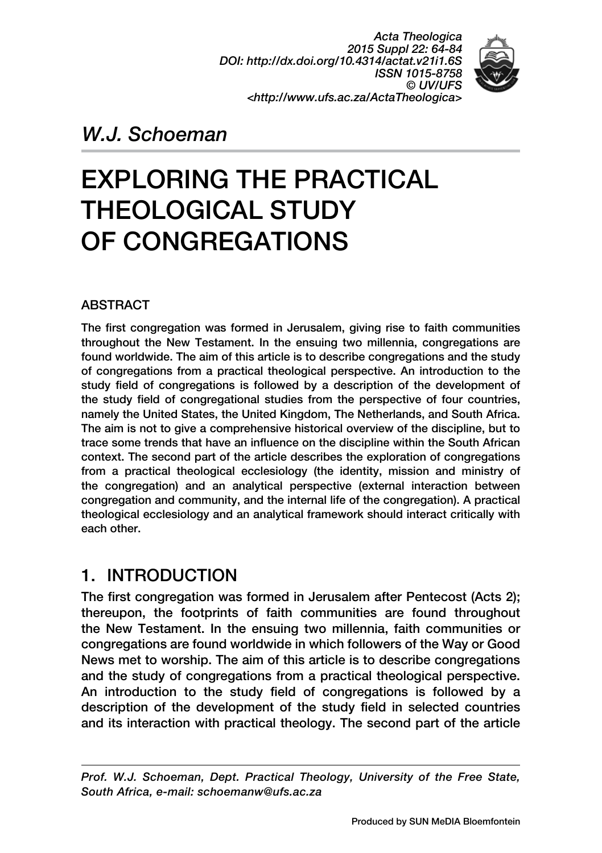*Acta Theologica 2015 Suppl 22: 64-84 DOI: http://dx.doi.org/10.4314/actat.v21i1.6S ISSN 1015-8758 © UV/UFS <http://www.ufs.ac.za/ActaTheologica>*



# *W.J. Schoeman*

# EXPLORING THE PRACTICAL THEOLOGICAL STUDY OF CONGREGATIONS

### **ABSTRACT**

The first congregation was formed in Jerusalem, giving rise to faith communities throughout the New Testament. In the ensuing two millennia, congregations are found worldwide. The aim of this article is to describe congregations and the study of congregations from a practical theological perspective. An introduction to the study field of congregations is followed by a description of the development of the study field of congregational studies from the perspective of four countries, namely the United States, the United Kingdom, The Netherlands, and South Africa. The aim is not to give a comprehensive historical overview of the discipline, but to trace some trends that have an influence on the discipline within the South African context. The second part of the article describes the exploration of congregations from a practical theological ecclesiology (the identity, mission and ministry of the congregation) and an analytical perspective (external interaction between congregation and community, and the internal life of the congregation). A practical theological ecclesiology and an analytical framework should interact critically with each other.

### 1. INTRODUCTION

The first congregation was formed in Jerusalem after Pentecost (Acts 2); thereupon, the footprints of faith communities are found throughout the New Testament. In the ensuing two millennia, faith communities or congregations are found worldwide in which followers of the Way or Good News met to worship. The aim of this article is to describe congregations and the study of congregations from a practical theological perspective. An introduction to the study field of congregations is followed by a description of the development of the study field in selected countries and its interaction with practical theology. The second part of the article

*Prof. W.J. Schoeman, Dept. Practical Theology, University of the Free State, South Africa, e-mail: schoemanw@ufs.ac.za*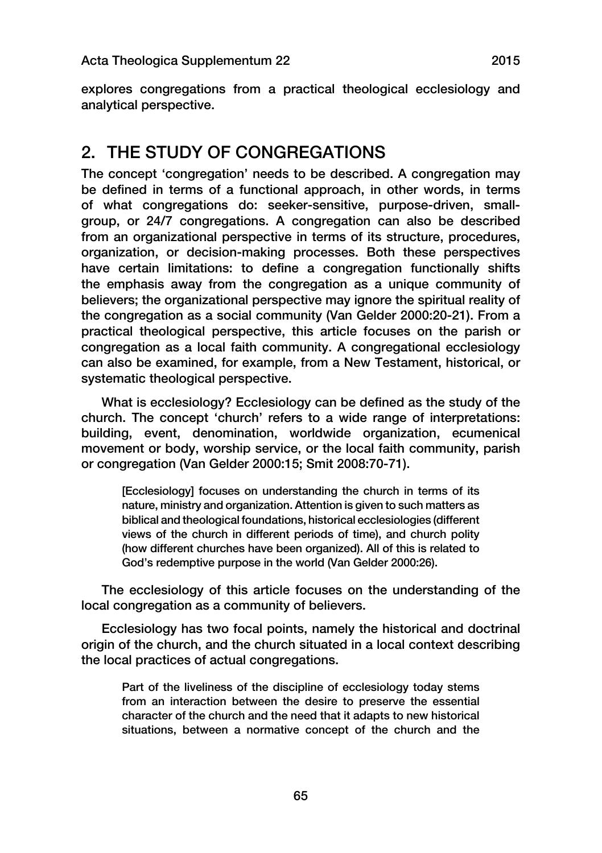explores congregations from a practical theological ecclesiology and analytical perspective.

# 2. THE STUDY OF CONGREGATIONS

The concept 'congregation' needs to be described. A congregation may be defined in terms of a functional approach, in other words, in terms of what congregations do: seeker-sensitive, purpose-driven, smallgroup, or 24/7 congregations. A congregation can also be described from an organizational perspective in terms of its structure, procedures, organization, or decision-making processes. Both these perspectives have certain limitations: to define a congregation functionally shifts the emphasis away from the congregation as a unique community of believers; the organizational perspective may ignore the spiritual reality of the congregation as a social community (Van Gelder 2000:20-21). From a practical theological perspective, this article focuses on the parish or congregation as a local faith community. A congregational ecclesiology can also be examined, for example, from a New Testament, historical, or systematic theological perspective.

What is ecclesiology? Ecclesiology can be defined as the study of the church. The concept 'church' refers to a wide range of interpretations: building, event, denomination, worldwide organization, ecumenical movement or body, worship service, or the local faith community, parish or congregation (Van Gelder 2000:15; Smit 2008:70-71).

[Ecclesiology] focuses on understanding the church in terms of its nature, ministry and organization. Attention is given to such matters as biblical and theological foundations, historical ecclesiologies (different views of the church in different periods of time), and church polity (how different churches have been organized). All of this is related to God's redemptive purpose in the world (Van Gelder 2000:26).

The ecclesiology of this article focuses on the understanding of the local congregation as a community of believers.

Ecclesiology has two focal points, namely the historical and doctrinal origin of the church, and the church situated in a local context describing the local practices of actual congregations.

Part of the liveliness of the discipline of ecclesiology today stems from an interaction between the desire to preserve the essential character of the church and the need that it adapts to new historical situations, between a normative concept of the church and the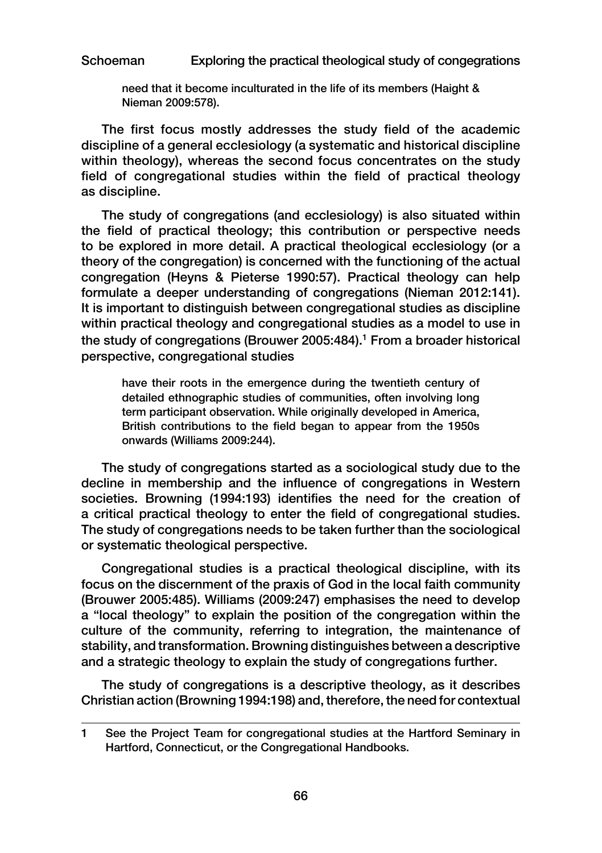need that it become inculturated in the life of its members (Haight & Nieman 2009:578).

The first focus mostly addresses the study field of the academic discipline of a general ecclesiology (a systematic and historical discipline within theology), whereas the second focus concentrates on the study field of congregational studies within the field of practical theology as discipline.

The study of congregations (and ecclesiology) is also situated within the field of practical theology; this contribution or perspective needs to be explored in more detail. A practical theological ecclesiology (or a theory of the congregation) is concerned with the functioning of the actual congregation (Heyns & Pieterse 1990:57). Practical theology can help formulate a deeper understanding of congregations (Nieman 2012:141). It is important to distinguish between congregational studies as discipline within practical theology and congregational studies as a model to use in the study of congregations (Brouwer 2005:484).<sup>1</sup> From a broader historical perspective, congregational studies

have their roots in the emergence during the twentieth century of detailed ethnographic studies of communities, often involving long term participant observation. While originally developed in America, British contributions to the field began to appear from the 1950s onwards (Williams 2009:244).

The study of congregations started as a sociological study due to the decline in membership and the influence of congregations in Western societies. Browning (1994:193) identifies the need for the creation of a critical practical theology to enter the field of congregational studies. The study of congregations needs to be taken further than the sociological or systematic theological perspective.

Congregational studies is a practical theological discipline, with its focus on the discernment of the praxis of God in the local faith community (Brouwer 2005:485). Williams (2009:247) emphasises the need to develop a "local theology" to explain the position of the congregation within the culture of the community, referring to integration, the maintenance of stability, and transformation. Browning distinguishes between a descriptive and a strategic theology to explain the study of congregations further.

The study of congregations is a descriptive theology, as it describes Christian action (Browning 1994:198) and, therefore, the need for contextual

<sup>1</sup> See the Project Team for congregational studies at the Hartford Seminary in Hartford, Connecticut, or the Congregational Handbooks.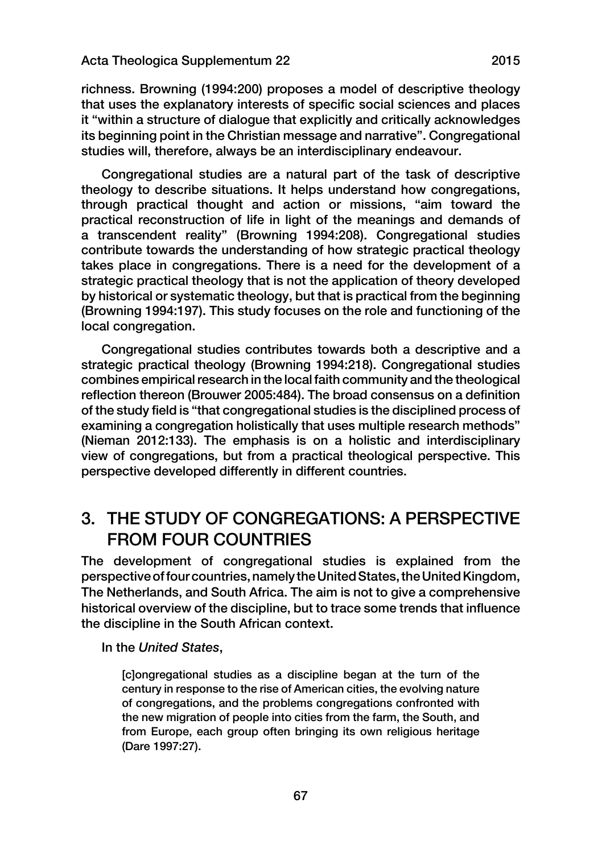richness. Browning (1994:200) proposes a model of descriptive theology that uses the explanatory interests of specific social sciences and places it "within a structure of dialogue that explicitly and critically acknowledges its beginning point in the Christian message and narrative". Congregational studies will, therefore, always be an interdisciplinary endeavour.

Congregational studies are a natural part of the task of descriptive theology to describe situations. It helps understand how congregations, through practical thought and action or missions, "aim toward the practical reconstruction of life in light of the meanings and demands of a transcendent reality" (Browning 1994:208). Congregational studies contribute towards the understanding of how strategic practical theology takes place in congregations. There is a need for the development of a strategic practical theology that is not the application of theory developed by historical or systematic theology, but that is practical from the beginning (Browning 1994:197). This study focuses on the role and functioning of the local congregation.

Congregational studies contributes towards both a descriptive and a strategic practical theology (Browning 1994:218). Congregational studies combines empirical research in the local faith community and the theological reflection thereon (Brouwer 2005:484). The broad consensus on a definition of the study field is "that congregational studies is the disciplined process of examining a congregation holistically that uses multiple research methods" (Nieman 2012:133). The emphasis is on a holistic and interdisciplinary view of congregations, but from a practical theological perspective. This perspective developed differently in different countries.

## 3. THE STUDY OF CONGREGATIONS: A PERSPECTIVE FROM FOUR COUNTRIES

The development of congregational studies is explained from the perspective of four countries, namely the United States, the UnitedKingdom, The Netherlands, and South Africa. The aim is not to give a comprehensive historical overview of the discipline, but to trace some trends that influence the discipline in the South African context.

In the *United States*,

[c]ongregational studies as a discipline began at the turn of the century in response to the rise of American cities, the evolving nature of congregations, and the problems congregations confronted with the new migration of people into cities from the farm, the South, and from Europe, each group often bringing its own religious heritage (Dare 1997:27).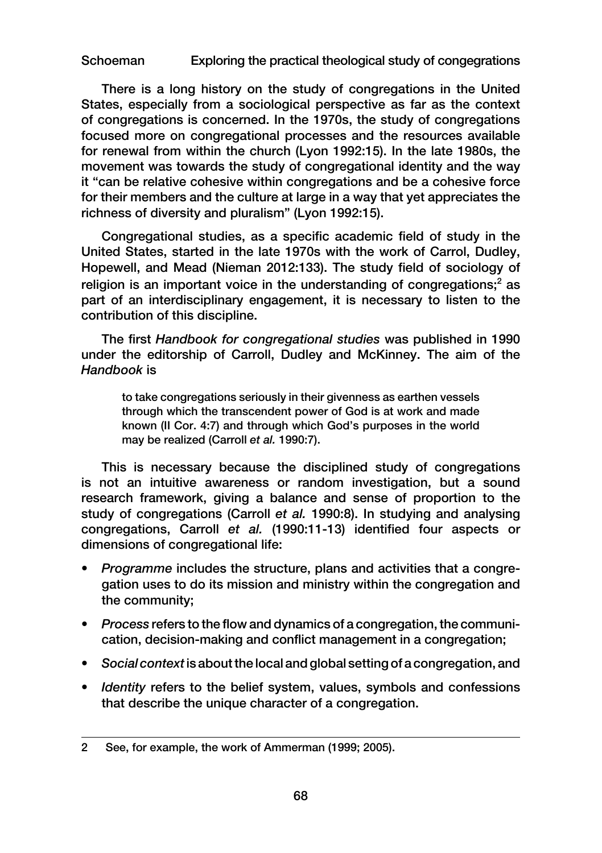There is a long history on the study of congregations in the United States, especially from a sociological perspective as far as the context of congregations is concerned. In the 1970s, the study of congregations focused more on congregational processes and the resources available for renewal from within the church (Lyon 1992:15). In the late 1980s, the movement was towards the study of congregational identity and the way it "can be relative cohesive within congregations and be a cohesive force for their members and the culture at large in a way that yet appreciates the richness of diversity and pluralism" (Lyon 1992:15).

Congregational studies, as a specific academic field of study in the United States, started in the late 1970s with the work of Carrol, Dudley, Hopewell, and Mead (Nieman 2012:133). The study field of sociology of religion is an important voice in the understanding of congregations;<sup>2</sup> as part of an interdisciplinary engagement, it is necessary to listen to the contribution of this discipline.

The first *Handbook for congregational studies* was published in 1990 under the editorship of Carroll, Dudley and McKinney. The aim of the *Handbook* is

to take congregations seriously in their givenness as earthen vessels through which the transcendent power of God is at work and made known (II Cor. 4:7) and through which God's purposes in the world may be realized (Carroll *et al.* 1990:7).

This is necessary because the disciplined study of congregations is not an intuitive awareness or random investigation, but a sound research framework, giving a balance and sense of proportion to the study of congregations (Carroll *et al.* 1990:8). In studying and analysing congregations, Carroll *et al.* (1990:11-13) identified four aspects or dimensions of congregational life:

- *Programme* includes the structure, plans and activities that a congregation uses to do its mission and ministry within the congregation and the community;
- *Process* refers to the flow and dynamics of a congregation, the communication, decision-making and conflict management in a congregation;
- *Social context* is about the local and global setting of a congregation, and
- *Identity* refers to the belief system, values, symbols and confessions that describe the unique character of a congregation.

<sup>2</sup> See, for example, the work of Ammerman (1999; 2005).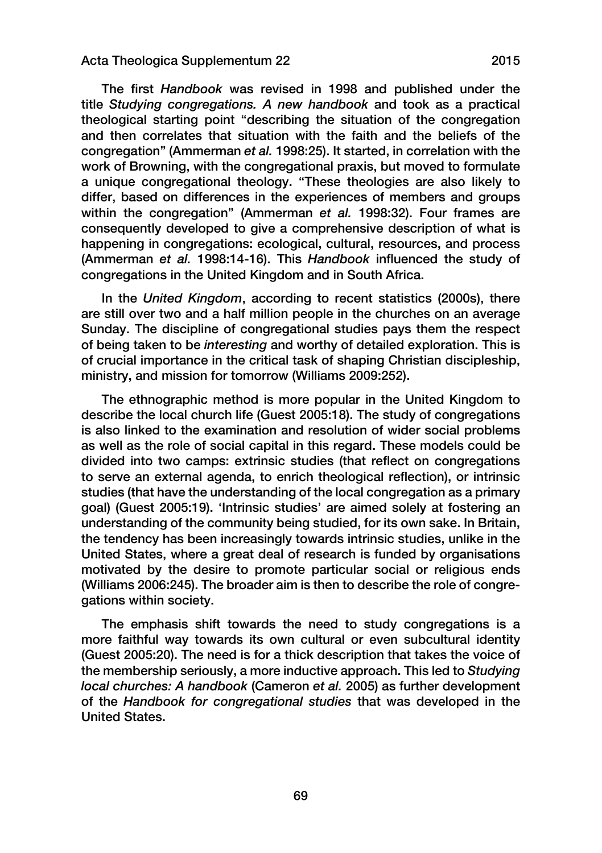The first *Handbook* was revised in 1998 and published under the title *Studying congregations. A new handbook* and took as a practical theological starting point "describing the situation of the congregation and then correlates that situation with the faith and the beliefs of the congregation" (Ammerman *et al.* 1998:25). It started, in correlation with the work of Browning, with the congregational praxis, but moved to formulate a unique congregational theology. "These theologies are also likely to differ, based on differences in the experiences of members and groups within the congregation" (Ammerman *et al.* 1998:32). Four frames are consequently developed to give a comprehensive description of what is happening in congregations: ecological, cultural, resources, and process (Ammerman *et al.* 1998:14-16). This *Handbook* influenced the study of congregations in the United Kingdom and in South Africa.

In the *United Kingdom*, according to recent statistics (2000s), there are still over two and a half million people in the churches on an average Sunday. The discipline of congregational studies pays them the respect of being taken to be *interesting* and worthy of detailed exploration. This is of crucial importance in the critical task of shaping Christian discipleship, ministry, and mission for tomorrow (Williams 2009:252).

The ethnographic method is more popular in the United Kingdom to describe the local church life (Guest 2005:18). The study of congregations is also linked to the examination and resolution of wider social problems as well as the role of social capital in this regard. These models could be divided into two camps: extrinsic studies (that reflect on congregations to serve an external agenda, to enrich theological reflection), or intrinsic studies (that have the understanding of the local congregation as a primary goal) (Guest 2005:19). 'Intrinsic studies' are aimed solely at fostering an understanding of the community being studied, for its own sake. In Britain, the tendency has been increasingly towards intrinsic studies, unlike in the United States, where a great deal of research is funded by organisations motivated by the desire to promote particular social or religious ends (Williams 2006:245). The broader aim is then to describe the role of congregations within society.

The emphasis shift towards the need to study congregations is a more faithful way towards its own cultural or even subcultural identity (Guest 2005:20). The need is for a thick description that takes the voice of the membership seriously, a more inductive approach. This led to *Studying local churches: A handbook* (Cameron *et al.* 2005) as further development of the *Handbook for congregational studies* that was developed in the United States.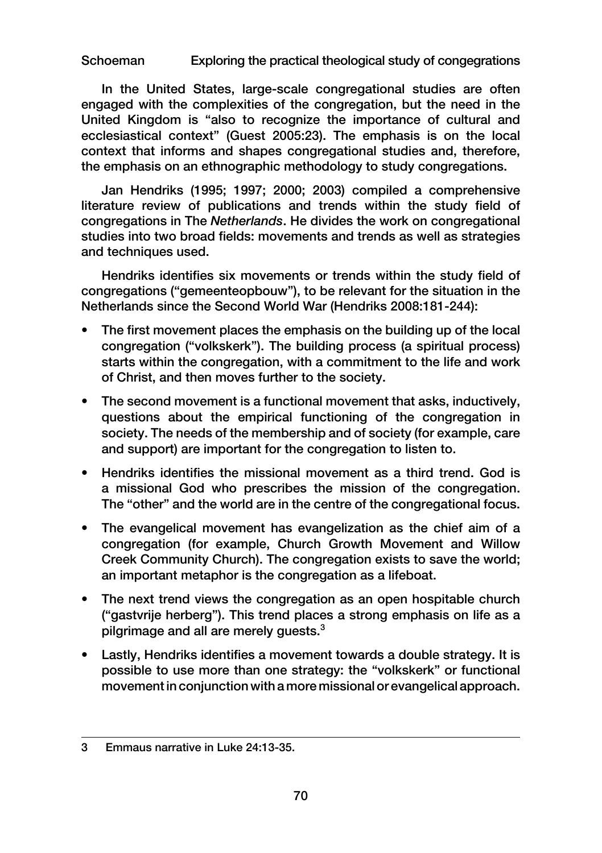In the United States, large-scale congregational studies are often engaged with the complexities of the congregation, but the need in the United Kingdom is "also to recognize the importance of cultural and ecclesiastical context" (Guest 2005:23). The emphasis is on the local context that informs and shapes congregational studies and, therefore, the emphasis on an ethnographic methodology to study congregations.

Jan Hendriks (1995; 1997; 2000; 2003) compiled a comprehensive literature review of publications and trends within the study field of congregations in The *Netherlands*. He divides the work on congregational studies into two broad fields: movements and trends as well as strategies and techniques used.

Hendriks identifies six movements or trends within the study field of congregations ("gemeenteopbouw"), to be relevant for the situation in the Netherlands since the Second World War (Hendriks 2008:181-244):

- The first movement places the emphasis on the building up of the local congregation ("volkskerk"). The building process (a spiritual process) starts within the congregation, with a commitment to the life and work of Christ, and then moves further to the society.
- The second movement is a functional movement that asks, inductively, questions about the empirical functioning of the congregation in society. The needs of the membership and of society (for example, care and support) are important for the congregation to listen to.
- Hendriks identifies the missional movement as a third trend. God is a missional God who prescribes the mission of the congregation. The "other" and the world are in the centre of the congregational focus.
- The evangelical movement has evangelization as the chief aim of a congregation (for example, Church Growth Movement and Willow Creek Community Church). The congregation exists to save the world; an important metaphor is the congregation as a lifeboat.
- The next trend views the congregation as an open hospitable church ("gastvrije herberg"). This trend places a strong emphasis on life as a pilgrimage and all are merely quests.<sup>3</sup>
- Lastly, Hendriks identifies a movement towards a double strategy. It is possible to use more than one strategy: the "volkskerk" or functional movement in conjunction with a more missional or evangelical approach.

<sup>3</sup> Emmaus narrative in Luke 24:13-35.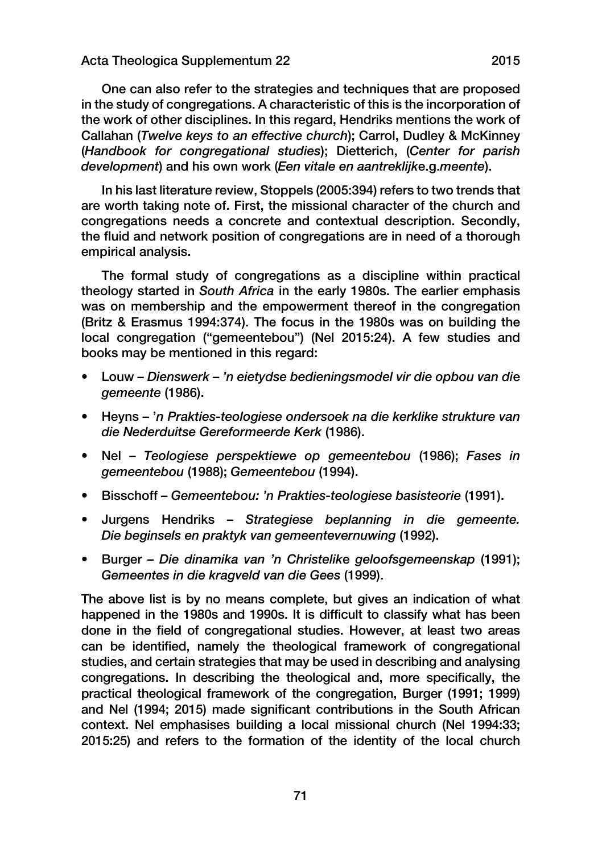One can also refer to the strategies and techniques that are proposed in the study of congregations. A characteristic of this is the incorporation of the work of other disciplines. In this regard, Hendriks mentions the work of Callahan (*Twelve keys to an effective church*); Carrol, Dudley & McKinney (*Handbook for congregational studies*); Dietterich, (*Center for parish development*) and his own work (*Een vitale en aantreklijk*e.g.*meente*).

In his last literature review, Stoppels (2005:394) refers to two trends that are worth taking note of. First, the missional character of the church and congregations needs a concrete and contextual description. Secondly, the fluid and network position of congregations are in need of a thorough empirical analysis.

The formal study of congregations as a discipline within practical theology started in *South Africa* in the early 1980s. The earlier emphasis was on membership and the empowerment thereof in the congregation (Britz & Erasmus 1994:374). The focus in the 1980s was on building the local congregation ("gemeentebou") (Nel 2015:24). A few studies and books may be mentioned in this regard:

- Louw *Dienswerk 'n eietydse bedieningsmodel vir die opbou van di*e *gemeente* (1986).
- Heyns '*n Prakties-teologiese ondersoek na die kerklike strukture van die Nederduitse Gereformeerde Kerk* (1986).
- Nel *Teologiese perspektiewe op gemeentebou* (1986); *Fases in gemeentebou* (1988); *Gemeentebou* (1994).
- Bisschoff *Gemeentebou: 'n Prakties-teologiese basisteorie* (1991).
- Jurgens Hendriks *Strategiese beplanning in di*e *gemeente. Die beginsels en praktyk van gemeentevernuwing* (1992).
- Burger *Die dinamika van 'n Christelik*e *geloofsgemeenskap* (1991); *Gemeentes in die kragveld van die Gees* (1999).

The above list is by no means complete, but gives an indication of what happened in the 1980s and 1990s. It is difficult to classify what has been done in the field of congregational studies. However, at least two areas can be identified, namely the theological framework of congregational studies, and certain strategies that may be used in describing and analysing congregations. In describing the theological and, more specifically, the practical theological framework of the congregation, Burger (1991; 1999) and Nel (1994; 2015) made significant contributions in the South African context. Nel emphasises building a local missional church (Nel 1994:33; 2015:25) and refers to the formation of the identity of the local church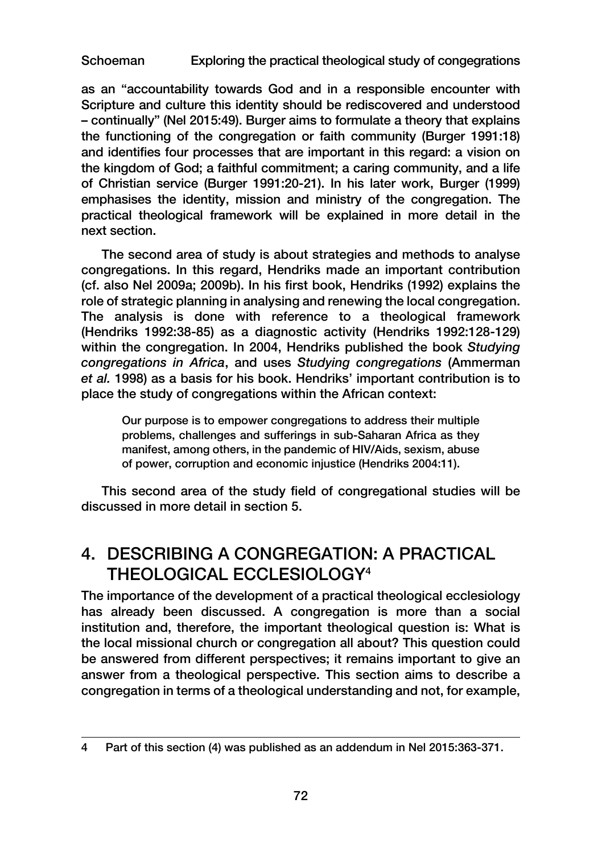as an "accountability towards God and in a responsible encounter with Scripture and culture this identity should be rediscovered and understood – continually" (Nel 2015:49). Burger aims to formulate a theory that explains the functioning of the congregation or faith community (Burger 1991:18) and identifies four processes that are important in this regard: a vision on the kingdom of God; a faithful commitment; a caring community, and a life of Christian service (Burger 1991:20-21). In his later work, Burger (1999) emphasises the identity, mission and ministry of the congregation. The practical theological framework will be explained in more detail in the next section.

The second area of study is about strategies and methods to analyse congregations. In this regard, Hendriks made an important contribution (cf. also Nel 2009a; 2009b). In his first book, Hendriks (1992) explains the role of strategic planning in analysing and renewing the local congregation. The analysis is done with reference to a theological framework (Hendriks 1992:38-85) as a diagnostic activity (Hendriks 1992:128-129) within the congregation. In 2004, Hendriks published the book *Studying congregations in Africa*, and uses *Studying congregations* (Ammerman *et al.* 1998) as a basis for his book. Hendriks' important contribution is to place the study of congregations within the African context:

Our purpose is to empower congregations to address their multiple problems, challenges and sufferings in sub-Saharan Africa as they manifest, among others, in the pandemic of HIV/Aids, sexism, abuse of power, corruption and economic injustice (Hendriks 2004:11).

This second area of the study field of congregational studies will be discussed in more detail in section 5.

# 4. DESCRIBING A CONGREGATION: A PRACTICAL THEOLOGICAL ECCLESIOLOGY4

The importance of the development of a practical theological ecclesiology has already been discussed. A congregation is more than a social institution and, therefore, the important theological question is: What is the local missional church or congregation all about? This question could be answered from different perspectives; it remains important to give an answer from a theological perspective. This section aims to describe a congregation in terms of a theological understanding and not, for example,

<sup>4</sup> Part of this section (4) was published as an addendum in Nel 2015:363-371.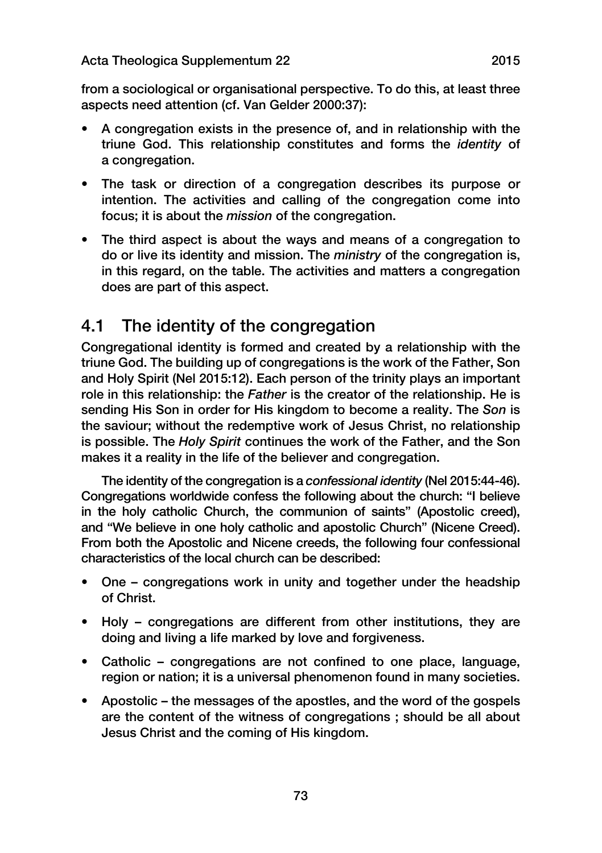from a sociological or organisational perspective. To do this, at least three aspects need attention (cf. Van Gelder 2000:37):

- A congregation exists in the presence of, and in relationship with the triune God. This relationship constitutes and forms the *identity* of a congregation.
- The task or direction of a congregation describes its purpose or intention. The activities and calling of the congregation come into focus; it is about the *mission* of the congregation.
- The third aspect is about the ways and means of a congregation to do or live its identity and mission. The *ministry* of the congregation is, in this regard, on the table. The activities and matters a congregation does are part of this aspect.

# 4.1 The identity of the congregation

Congregational identity is formed and created by a relationship with the triune God. The building up of congregations is the work of the Father, Son and Holy Spirit (Nel 2015:12). Each person of the trinity plays an important role in this relationship: the *Father* is the creator of the relationship. He is sending His Son in order for His kingdom to become a reality. The *Son* is the saviour; without the redemptive work of Jesus Christ, no relationship is possible. The *Holy Spirit* continues the work of the Father, and the Son makes it a reality in the life of the believer and congregation.

The identity of the congregation is a *confessional identity* (Nel 2015:44-46). Congregations worldwide confess the following about the church: "I believe in the holy catholic Church, the communion of saints" (Apostolic creed), and "We believe in one holy catholic and apostolic Church" (Nicene Creed). From both the Apostolic and Nicene creeds, the following four confessional characteristics of the local church can be described:

- One congregations work in unity and together under the headship of Christ.
- Holy congregations are different from other institutions, they are doing and living a life marked by love and forgiveness.
- Catholic congregations are not confined to one place, language, region or nation; it is a universal phenomenon found in many societies.
- Apostolic the messages of the apostles, and the word of the gospels are the content of the witness of congregations ; should be all about Jesus Christ and the coming of His kingdom.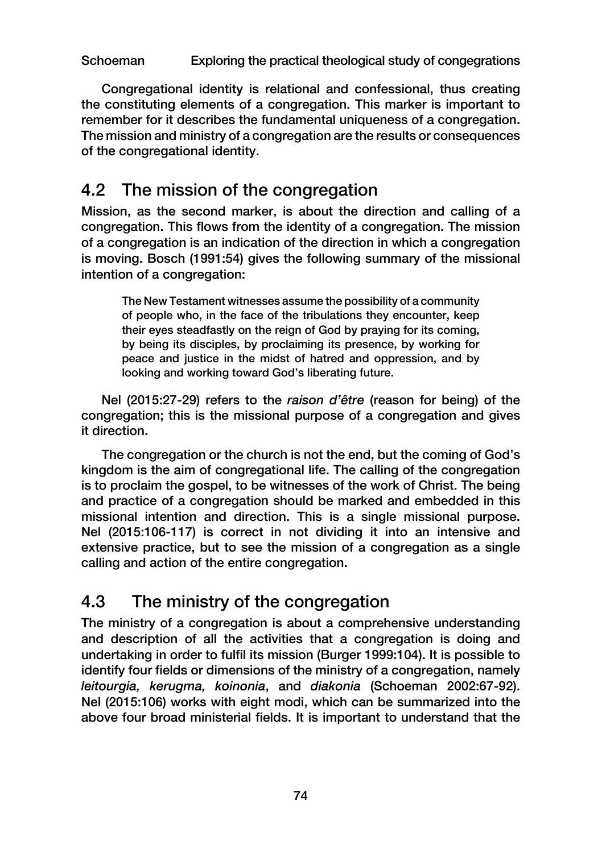Congregational identity is relational and confessional, thus creating the constituting elements of a congregation. This marker is important to remember for it describes the fundamental uniqueness of a congregation. The mission and ministry of a congregation are the results or consequences of the congregational identity.

# 4.2 The mission of the congregation

Mission, as the second marker, is about the direction and calling of a congregation. This flows from the identity of a congregation. The mission of a congregation is an indication of the direction in which a congregation is moving. Bosch (1991:54) gives the following summary of the missional intention of a congregation:

The New Testament witnesses assume the possibility of a community of people who, in the face of the tribulations they encounter, keep their eyes steadfastly on the reign of God by praying for its coming, by being its disciples, by proclaiming its presence, by working for peace and justice in the midst of hatred and oppression, and by looking and working toward God's liberating future.

Nel (2015:27-29) refers to the *raison d'être* (reason for being) of the congregation; this is the missional purpose of a congregation and gives it direction.

The congregation or the church is not the end, but the coming of God's kingdom is the aim of congregational life. The calling of the congregation is to proclaim the gospel, to be witnesses of the work of Christ. The being and practice of a congregation should be marked and embedded in this missional intention and direction. This is a single missional purpose. Nel (2015:106-117) is correct in not dividing it into an intensive and extensive practice, but to see the mission of a congregation as a single calling and action of the entire congregation.

# 4.3 The ministry of the congregation

The ministry of a congregation is about a comprehensive understanding and description of all the activities that a congregation is doing and undertaking in order to fulfil its mission (Burger 1999:104). It is possible to identify four fields or dimensions of the ministry of a congregation, namely *leitourgia, kerugma, koinonia*, and *diakonia* (Schoeman 2002:67-92). Nel (2015:106) works with eight modi, which can be summarized into the above four broad ministerial fields. It is important to understand that the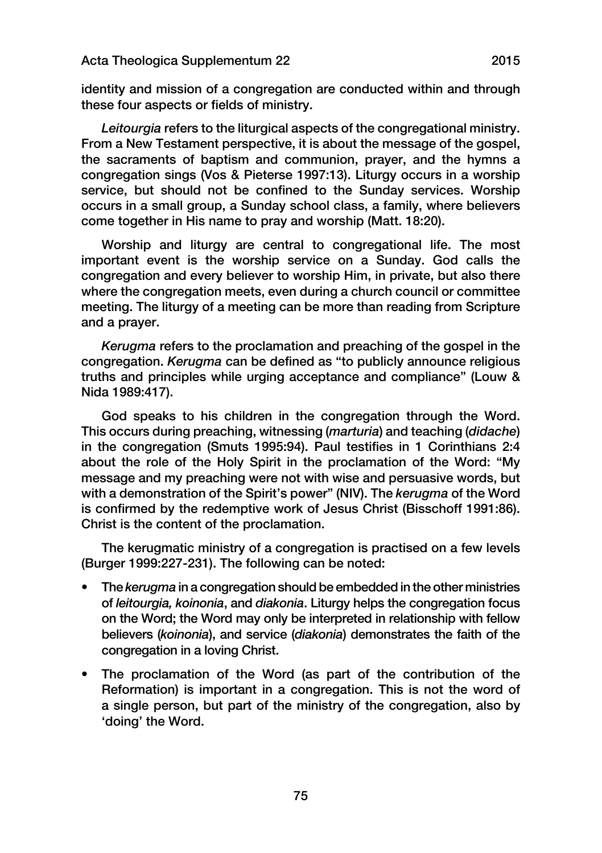identity and mission of a congregation are conducted within and through these four aspects or fields of ministry.

*Leitourgia* refers to the liturgical aspects of the congregational ministry. From a New Testament perspective, it is about the message of the gospel, the sacraments of baptism and communion, prayer, and the hymns a congregation sings (Vos & Pieterse 1997:13). Liturgy occurs in a worship service, but should not be confined to the Sunday services. Worship occurs in a small group, a Sunday school class, a family, where believers come together in His name to pray and worship (Matt. 18:20).

Worship and liturgy are central to congregational life. The most important event is the worship service on a Sunday. God calls the congregation and every believer to worship Him, in private, but also there where the congregation meets, even during a church council or committee meeting. The liturgy of a meeting can be more than reading from Scripture and a prayer.

*Kerugma* refers to the proclamation and preaching of the gospel in the congregation. *Kerugma* can be defined as "to publicly announce religious truths and principles while urging acceptance and compliance" (Louw & Nida 1989:417).

God speaks to his children in the congregation through the Word. This occurs during preaching, witnessing (*marturia*) and teaching (*didache*) in the congregation (Smuts 1995:94). Paul testifies in 1 Corinthians 2:4 about the role of the Holy Spirit in the proclamation of the Word: "My message and my preaching were not with wise and persuasive words, but with a demonstration of the Spirit's power" (NIV). The *kerugma* of the Word is confirmed by the redemptive work of Jesus Christ (Bisschoff 1991:86). Christ is the content of the proclamation.

The kerugmatic ministry of a congregation is practised on a few levels (Burger 1999:227-231). The following can be noted:

- The *kerugma* in a congregation should be embedded in the other ministries of *leitourgia, koinonia*, and *diakonia*. Liturgy helps the congregation focus on the Word; the Word may only be interpreted in relationship with fellow believers (*koinonia*), and service (*diakonia*) demonstrates the faith of the congregation in a loving Christ.
- The proclamation of the Word (as part of the contribution of the Reformation) is important in a congregation. This is not the word of a single person, but part of the ministry of the congregation, also by 'doing' the Word.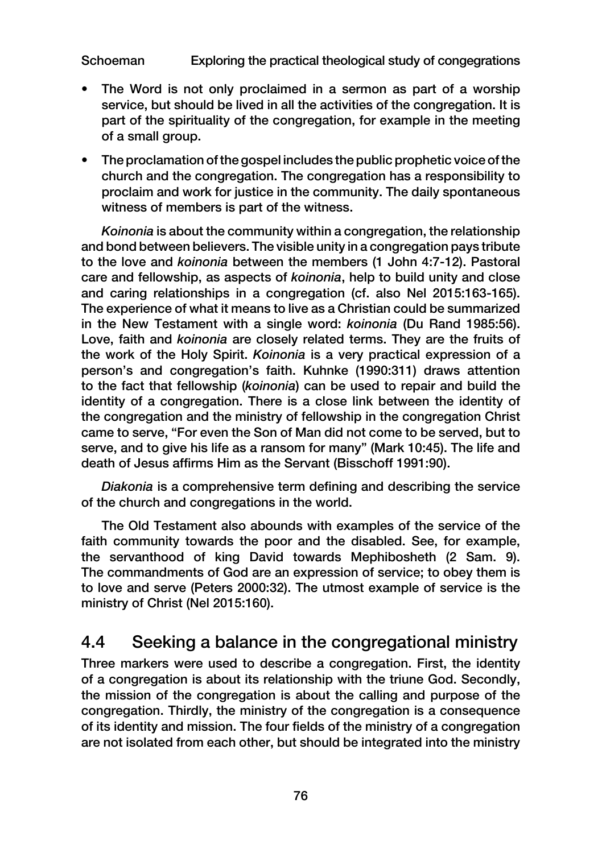- The Word is not only proclaimed in a sermon as part of a worship service, but should be lived in all the activities of the congregation. It is part of the spirituality of the congregation, for example in the meeting of a small group.
- The proclamation of the gospel includes the public prophetic voice of the church and the congregation. The congregation has a responsibility to proclaim and work for justice in the community. The daily spontaneous witness of members is part of the witness.

*Koinonia* is about the community within a congregation, the relationship and bond between believers. The visible unity in a congregation pays tribute to the love and *koinonia* between the members (1 John 4:7-12). Pastoral care and fellowship, as aspects of *koinonia*, help to build unity and close and caring relationships in a congregation (cf. also Nel 2015:163-165). The experience of what it means to live as a Christian could be summarized in the New Testament with a single word: *koinonia* (Du Rand 1985:56). Love, faith and *koinonia* are closely related terms. They are the fruits of the work of the Holy Spirit. *Koinonia* is a very practical expression of a person's and congregation's faith. Kuhnke (1990:311) draws attention to the fact that fellowship (*koinonia*) can be used to repair and build the identity of a congregation. There is a close link between the identity of the congregation and the ministry of fellowship in the congregation Christ came to serve, "For even the Son of Man did not come to be served, but to serve, and to give his life as a ransom for many" (Mark 10:45). The life and death of Jesus affirms Him as the Servant (Bisschoff 1991:90).

*Diakonia* is a comprehensive term defining and describing the service of the church and congregations in the world.

The Old Testament also abounds with examples of the service of the faith community towards the poor and the disabled. See, for example, the servanthood of king David towards Mephibosheth (2 Sam. 9). The commandments of God are an expression of service; to obey them is to love and serve (Peters 2000:32). The utmost example of service is the ministry of Christ (Nel 2015:160).

### 4.4 Seeking a balance in the congregational ministry

Three markers were used to describe a congregation. First, the identity of a congregation is about its relationship with the triune God. Secondly, the mission of the congregation is about the calling and purpose of the congregation. Thirdly, the ministry of the congregation is a consequence of its identity and mission. The four fields of the ministry of a congregation are not isolated from each other, but should be integrated into the ministry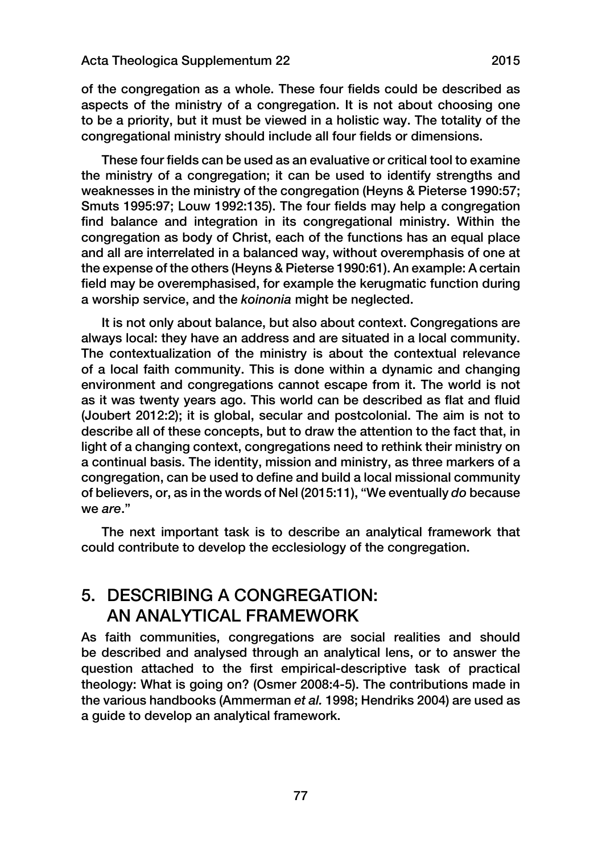of the congregation as a whole. These four fields could be described as aspects of the ministry of a congregation. It is not about choosing one to be a priority, but it must be viewed in a holistic way. The totality of the congregational ministry should include all four fields or dimensions.

These four fields can be used as an evaluative or critical tool to examine the ministry of a congregation; it can be used to identify strengths and weaknesses in the ministry of the congregation (Heyns & Pieterse 1990:57; Smuts 1995:97; Louw 1992:135). The four fields may help a congregation find balance and integration in its congregational ministry. Within the congregation as body of Christ, each of the functions has an equal place and all are interrelated in a balanced way, without overemphasis of one at the expense of the others (Heyns & Pieterse 1990:61). An example: A certain field may be overemphasised, for example the kerugmatic function during a worship service, and the *koinonia* might be neglected.

It is not only about balance, but also about context. Congregations are always local: they have an address and are situated in a local community. The contextualization of the ministry is about the contextual relevance of a local faith community. This is done within a dynamic and changing environment and congregations cannot escape from it. The world is not as it was twenty years ago. This world can be described as flat and fluid (Joubert 2012:2); it is global, secular and postcolonial. The aim is not to describe all of these concepts, but to draw the attention to the fact that, in light of a changing context, congregations need to rethink their ministry on a continual basis. The identity, mission and ministry, as three markers of a congregation, can be used to define and build a local missional community of believers, or, as in the words of Nel (2015:11), "We eventually *do* because we *are*."

The next important task is to describe an analytical framework that could contribute to develop the ecclesiology of the congregation.

## 5. DESCRIBING A CONGREGATION: AN ANALYTICAL FRAMEWORK

As faith communities, congregations are social realities and should be described and analysed through an analytical lens, or to answer the question attached to the first empirical-descriptive task of practical theology: What is going on? (Osmer 2008:4-5). The contributions made in the various handbooks (Ammerman *et al.* 1998; Hendriks 2004) are used as a guide to develop an analytical framework.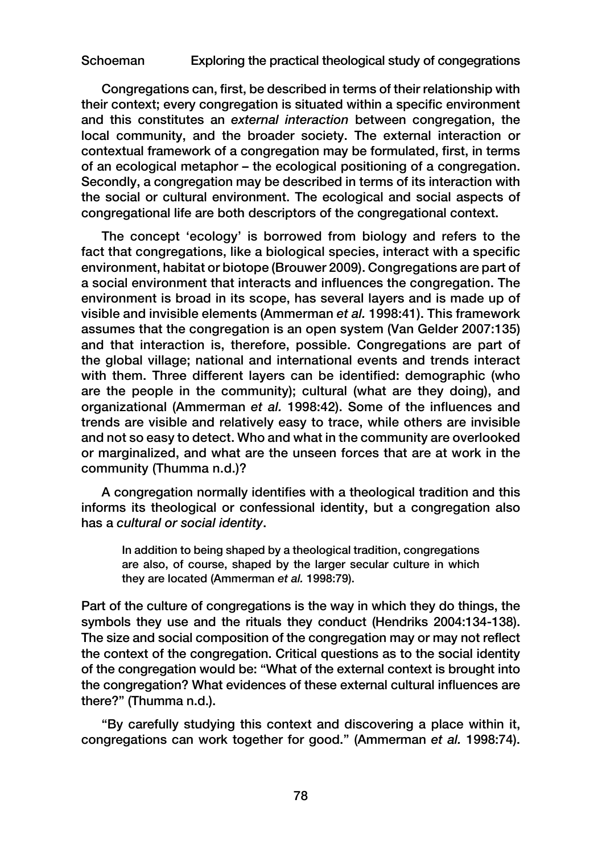Congregations can, first, be described in terms of their relationship with their context; every congregation is situated within a specific environment and this constitutes an *external interaction* between congregation, the local community, and the broader society. The external interaction or contextual framework of a congregation may be formulated, first, in terms of an ecological metaphor – the ecological positioning of a congregation. Secondly, a congregation may be described in terms of its interaction with the social or cultural environment. The ecological and social aspects of congregational life are both descriptors of the congregational context.

The concept 'ecology' is borrowed from biology and refers to the fact that congregations, like a biological species, interact with a specific environment, habitat or biotope (Brouwer 2009). Congregations are part of a social environment that interacts and influences the congregation. The environment is broad in its scope, has several layers and is made up of visible and invisible elements (Ammerman *et al.* 1998:41). This framework assumes that the congregation is an open system (Van Gelder 2007:135) and that interaction is, therefore, possible. Congregations are part of the global village; national and international events and trends interact with them. Three different layers can be identified: demographic (who are the people in the community); cultural (what are they doing), and organizational (Ammerman *et al.* 1998:42). Some of the influences and trends are visible and relatively easy to trace, while others are invisible and not so easy to detect. Who and what in the community are overlooked or marginalized, and what are the unseen forces that are at work in the community (Thumma n.d.)?

A congregation normally identifies with a theological tradition and this informs its theological or confessional identity, but a congregation also has a *cultural or social identity*.

In addition to being shaped by a theological tradition, congregations are also, of course, shaped by the larger secular culture in which they are located (Ammerman *et al.* 1998:79).

Part of the culture of congregations is the way in which they do things, the symbols they use and the rituals they conduct (Hendriks 2004:134-138). The size and social composition of the congregation may or may not reflect the context of the congregation. Critical questions as to the social identity of the congregation would be: "What of the external context is brought into the congregation? What evidences of these external cultural influences are there?" (Thumma n.d.).

"By carefully studying this context and discovering a place within it, congregations can work together for good." (Ammerman *et al.* 1998:74).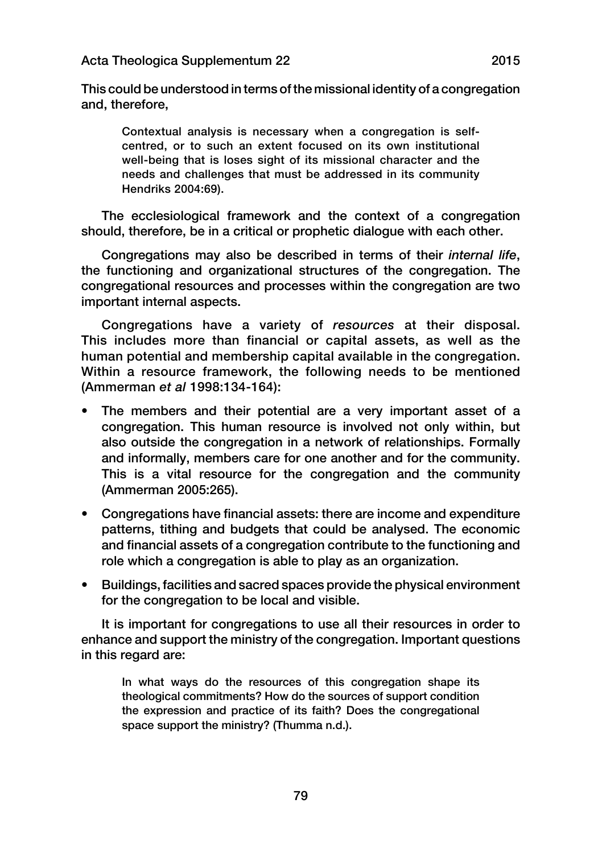This could be understood in terms of the missional identity of a congregation and, therefore,

Contextual analysis is necessary when a congregation is selfcentred, or to such an extent focused on its own institutional well-being that is loses sight of its missional character and the needs and challenges that must be addressed in its community Hendriks 2004:69).

The ecclesiological framework and the context of a congregation should, therefore, be in a critical or prophetic dialogue with each other.

Congregations may also be described in terms of their *internal life*, the functioning and organizational structures of the congregation. The congregational resources and processes within the congregation are two important internal aspects.

Congregations have a variety of *resources* at their disposal. This includes more than financial or capital assets, as well as the human potential and membership capital available in the congregation. Within a resource framework, the following needs to be mentioned (Ammerman *et al* 1998:134-164):

- The members and their potential are a very important asset of a congregation. This human resource is involved not only within, but also outside the congregation in a network of relationships. Formally and informally, members care for one another and for the community. This is a vital resource for the congregation and the community (Ammerman 2005:265).
- Congregations have financial assets: there are income and expenditure patterns, tithing and budgets that could be analysed. The economic and financial assets of a congregation contribute to the functioning and role which a congregation is able to play as an organization.
- Buildings, facilities and sacred spaces provide the physical environment for the congregation to be local and visible.

It is important for congregations to use all their resources in order to enhance and support the ministry of the congregation. Important questions in this regard are:

In what ways do the resources of this congregation shape its theological commitments? How do the sources of support condition the expression and practice of its faith? Does the congregational space support the ministry? (Thumma n.d.).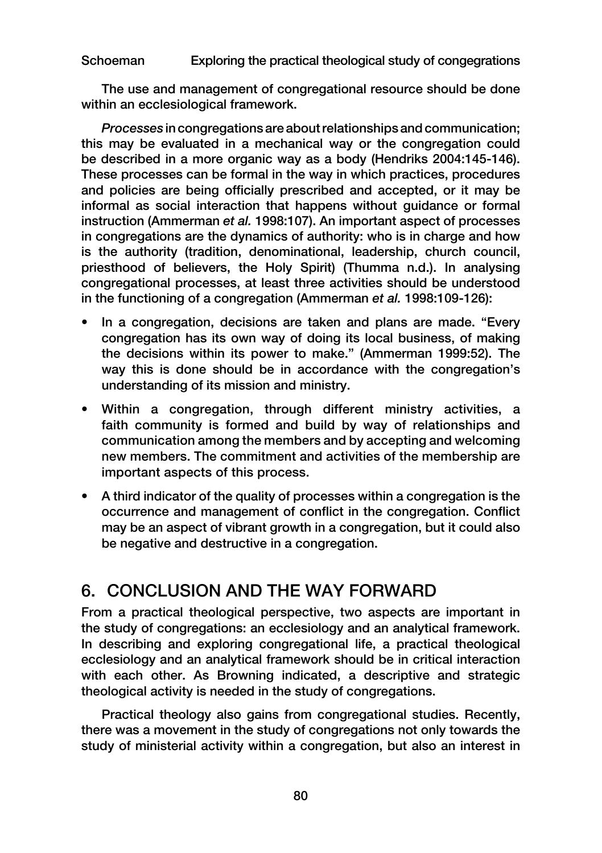The use and management of congregational resource should be done within an ecclesiological framework.

*Processes* in congregations are about relationships and communication; this may be evaluated in a mechanical way or the congregation could be described in a more organic way as a body (Hendriks 2004:145-146). These processes can be formal in the way in which practices, procedures and policies are being officially prescribed and accepted, or it may be informal as social interaction that happens without guidance or formal instruction (Ammerman *et al.* 1998:107). An important aspect of processes in congregations are the dynamics of authority: who is in charge and how is the authority (tradition, denominational, leadership, church council, priesthood of believers, the Holy Spirit) (Thumma n.d.). In analysing congregational processes, at least three activities should be understood in the functioning of a congregation (Ammerman *et al.* 1998:109-126):

- In a congregation, decisions are taken and plans are made. "Every congregation has its own way of doing its local business, of making the decisions within its power to make." (Ammerman 1999:52). The way this is done should be in accordance with the congregation's understanding of its mission and ministry.
- Within a congregation, through different ministry activities, a faith community is formed and build by way of relationships and communication among the members and by accepting and welcoming new members. The commitment and activities of the membership are important aspects of this process.
- A third indicator of the quality of processes within a congregation is the occurrence and management of conflict in the congregation. Conflict may be an aspect of vibrant growth in a congregation, but it could also be negative and destructive in a congregation.

# 6. CONCLUSION AND THE WAY FORWARD

From a practical theological perspective, two aspects are important in the study of congregations: an ecclesiology and an analytical framework. In describing and exploring congregational life, a practical theological ecclesiology and an analytical framework should be in critical interaction with each other. As Browning indicated, a descriptive and strategic theological activity is needed in the study of congregations.

Practical theology also gains from congregational studies. Recently, there was a movement in the study of congregations not only towards the study of ministerial activity within a congregation, but also an interest in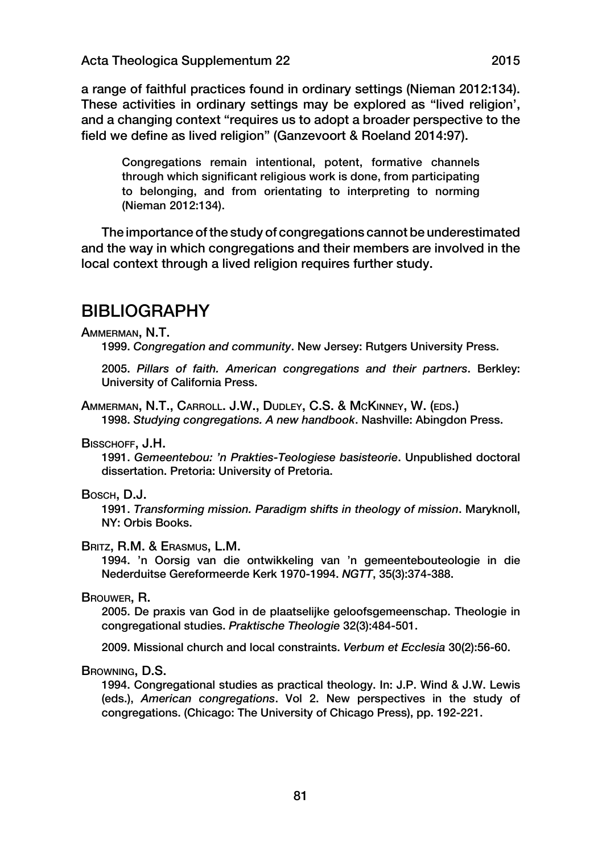a range of faithful practices found in ordinary settings (Nieman 2012:134). These activities in ordinary settings may be explored as "lived religion', and a changing context "requires us to adopt a broader perspective to the field we define as lived religion" (Ganzevoort & Roeland 2014:97).

Congregations remain intentional, potent, formative channels through which significant religious work is done, from participating to belonging, and from orientating to interpreting to norming (Nieman 2012:134).

The importance of the study of congregations cannot be underestimated and the way in which congregations and their members are involved in the local context through a lived religion requires further study.

## **BIBLIOGRAPHY**

#### Ammerman, N.T.

1999. *Congregation and community*. New Jersey: Rutgers University Press.

2005. *Pillars of faith. American congregations and their partners*. Berkley: University of California Press.

Ammerman, N.T., Carroll. J.W., Dudley, C.S. & McKinney, W. (eds.) 1998. *Studying congregations. A new handbook*. Nashville: Abingdon Press.

BISSCHOFF, J.H.

1991. *Gemeentebou: 'n Prakties-Teologiese basisteorie*. Unpublished doctoral dissertation. Pretoria: University of Pretoria.

#### Bosch, D.J.

1991. *Transforming mission. Paradigm shifts in theology of mission*. Maryknoll, NY: Orbis Books.

#### Britz, R.M. & Erasmus, L.M.

1994. 'n Oorsig van die ontwikkeling van 'n gemeentebouteologie in die Nederduitse Gereformeerde Kerk 1970-1994. *NGTT*, 35(3):374-388.

### Brouwer, R.

2005. De praxis van God in de plaatselijke geloofsgemeenschap. Theologie in congregational studies. *Praktische Theologie* 32(3):484-501.

2009. Missional church and local constraints. *Verbum et Ecclesia* 30(2):56-60.

#### Browning, D.S.

1994. Congregational studies as practical theology. In: J.P. Wind & J.W. Lewis (eds.), *American congregations*. Vol 2. New perspectives in the study of congregations. (Chicago: The University of Chicago Press), pp. 192-221.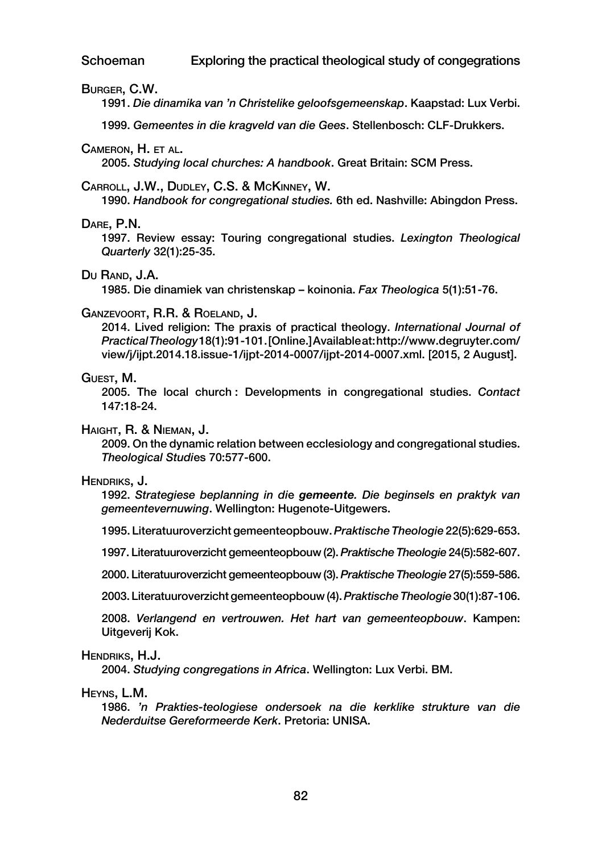#### Burger, C.W.

1991. *Die dinamika van 'n Christelike geloofsgemeenskap*. Kaapstad: Lux Verbi.

1999. *Gemeentes in die kragveld van die Gees*. Stellenbosch: CLF-Drukkers.

#### Cameron, H. et al.

2005. *Studying local churches: A handbook*. Great Britain: SCM Press.

#### Carroll, J.W., Dudley, C.S. & McKinney, W.

1990. *Handbook for congregational studies.* 6th ed. Nashville: Abingdon Press.

#### Dare, P.N.

1997. Review essay: Touring congregational studies. *Lexington Theological Quarterly* 32(1):25-35.

#### Du RAND, J.A.

1985. Die dinamiek van christenskap – koinonia. *Fax Theologica* 5(1):51-76.

#### Ganzevoort, R.R. & Roeland, J.

2014. Lived religion: The praxis of practical theology. *International Journal of Practical Theology* 18(1):91-101. [Online.] Available at: http://www.degruyter.com/ view/j/ijpt.2014.18.issue-1/ijpt-2014-0007/ijpt-2014-0007.xml. [2015, 2 August].

#### Guest, M.

2005. The local church : Developments in congregational studies. *Contact* 147:18-24.

#### Haight, R. & Nieman, J.

2009. On the dynamic relation between ecclesiology and congregational studies. *Theological Studi*es 70:577-600.

#### Hendriks, J.

1992. *Strategiese beplanning in di*e *gemeente. Die beginsels en praktyk van gemeentevernuwing*. Wellington: Hugenote-Uitgewers.

1995. Literatuuroverzicht gemeenteopbouw. *Praktische Theologie* 22(5):629-653.

1997. Literatuuroverzicht gemeenteopbouw (2). *Praktische Theologie* 24(5):582-607.

2000. Literatuuroverzicht gemeenteopbouw (3). *Praktische Theologie* 27(5):559-586.

2003. Literatuuroverzicht gemeenteopbouw (4). *Praktische Theologie* 30(1):87-106.

2008. *Verlangend en vertrouwen. Het hart van gemeenteopbouw*. Kampen: Uitgeverij Kok.

#### Hendriks, H.J.

2004. *Studying congregations in Africa*. Wellington: Lux Verbi. BM.

#### Heyns, L.M.

1986. *'n Prakties-teologiese ondersoek na die kerklike strukture van die Nederduitse Gereformeerde Kerk*. Pretoria: UNISA.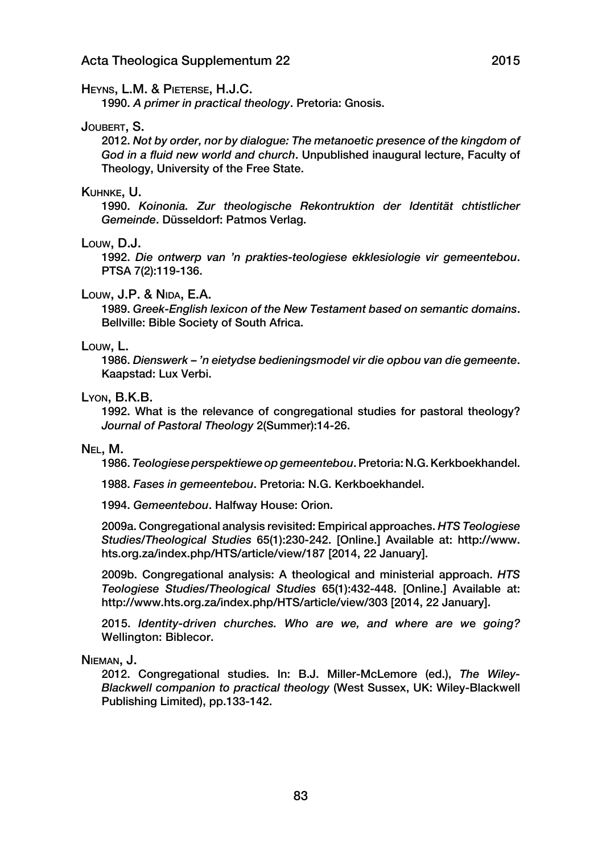#### HEYNS, L.M. & PIETERSE, H.J.C.

1990. *A primer in practical theology*. Pretoria: Gnosis.

#### JOUBERT, S.

2012. *Not by order, nor by dialogue: The metanoetic presence of the kingdom of God in a fluid new world and church*. Unpublished inaugural lecture, Faculty of Theology, University of the Free State.

#### Kuhnke, U.

1990. *Koinonia. Zur theologische Rekontruktion der Identität chtistlicher Gemeinde*. Düsseldorf: Patmos Verlag.

#### Louw, D.J.

1992. *Die ontwerp van 'n prakties-teologiese ekklesiologie vir gemeentebou*. PTSA 7(2):119-136.

#### Louw, J.P. & Nida, E.A.

1989. *Greek-English lexicon of the New Testament based on semantic domains*. Bellville: Bible Society of South Africa.

#### Louw, L.

1986. *Dienswerk* – *'n eietydse bedieningsmodel vir die opbou van di*e *gemeente*. Kaapstad: Lux Verbi.

### Lyon, B.K.B.

1992. What is the relevance of congregational studies for pastoral theology? *Journal of Pastoral Theology* 2(Summer):14-26.

#### Nel, M.

1986. *Teologiese perspektiewe op gemeentebou*. Pretoria: N.G. Kerkboekhandel.

1988. *Fases in gemeentebou*. Pretoria: N.G. Kerkboekhandel.

1994. *Gemeentebou*. Halfway House: Orion.

2009a. Congregational analysis revisited: Empirical approaches. *HTS Teologiese Studies/Theological Studies* 65(1):230-242. [Online.] Available at: http://www. hts.org.za/index.php/HTS/article/view/187 [2014, 22 January].

2009b. Congregational analysis: A theological and ministerial approach. *HTS Teologiese Studies/Theological Studies* 65(1):432-448. [Online.] Available at: http://www.hts.org.za/index.php/HTS/article/view/303 [2014, 22 January].

2015. *Identity-driven churches. Who are we, and where are w*e *going?* Wellington: Biblecor.

Nieman, J.

2012. Congregational studies. In: B.J. Miller-McLemore (ed.), *The Wiley-Blackwell companion to practical theology* (West Sussex, UK: Wiley-Blackwell Publishing Limited), pp.133-142.